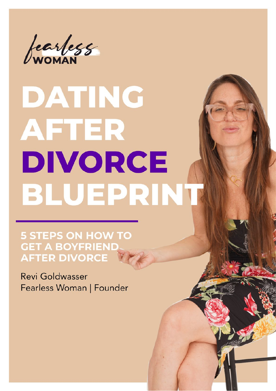

# DATING **AFTER** DIVORCE BLUEPRINT

**5 STEPS ON HOW TO GET A BOYFRIEND. AFTER DIVORCE** 

Revi Goldwasser Fearless Woman | Founder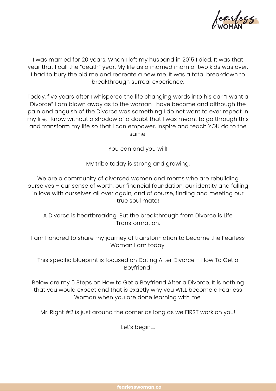

I was married for 20 years. When I left my husband in 2015 I died. It was that year that I call the "death" year. My life as a married mom of two kids was over. I had to bury the old me and recreate a new me. It was a total breakdown to breakthrough surreal experience.

Today, five years after I whispered the life changing words into his ear "I want a Divorce" I am blown away as to the woman I have become and although the pain and anguish of the Divorce was something I do not want to ever repeat in my life, I know without a shodow of a doubt that I was meant to go through this and transform my life so that I can empower, inspire and teach YOU do to the same.

You can and you will!

My tribe today is strong and growing.

We are a community of divorced women and moms who are rebuilding ourselves – our sense of worth, our financial foundation, our identity and falling in love with ourselves all over again, and of course, finding and meeting our true soul mate!

A Divorce is heartbreaking. But the breakthrough from Divorce is Life Transformation.

I am honored to share my journey of transformation to become the Fearless Woman I am today.

This specific blueprint is focused on Dating After Divorce – How To Get a Boyfriend!

Below are my 5 Steps on How to Get a Boyfriend After a Divorce. It is nothing that you would expect and that is exactly why you WILL become a Fearless Woman when you are done learning with me.

Mr. Right #2 is just around the corner as long as we FIRST work on you!

Let's begin….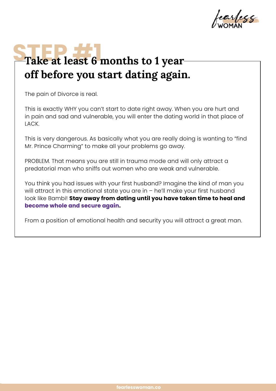

## Take at least 6 months to 1 year**off before you start dating again.**

The pain of Divorce is real.

This is exactly WHY you can't start to date right away. When you are hurt and in pain and sad and vulnerable, you will enter the dating world in that place of LACK.

This is very dangerous. As basically what you are really doing is wanting to "find Mr. Prince Charming" to make all your problems go away.

PROBLEM. That means you are still in trauma mode and will only attract a predatorial man who sniffs out women who are weak and vulnerable.

You think you had issues with your first husband? Imagine the kind of man you will attract in this emotional state you are in - he'll make your first husband look like Bambi! **Stay away from dating until you have taken time to heal and become whole and secure again.**

From a position of emotional health and security you will attract a great man.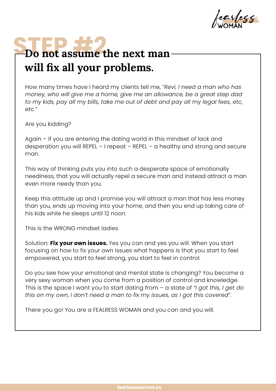earless

## **STEP #2**<br> **Do not assume the next man will fix all your problems.**

How many times have I heard my clients tell me, *"Revi, I need a man who has money, who will give me a home, give me an allowance, be a great step dad*  to my kids, pay all my bills, take me out of debt and pay all my legal fees, etc, *etc."*

Are you kidding?

Again – if you are entering the dating world in this mindset of lack and desperation you will REPEL – I repeat – REPEL – a healthy and strong and secure man.

This way of thinking puts you into such a desperate space of emotionally neediness, that you will actually repel a secure man and instead attract a man even more needy than you.

Keep this attitude up and I promise you will attract a man that has less money than you, ends up moving into your home, and then you end up taking care of his kids while he sleeps until 12 noon.

This is the WRONG mindset ladies.

Solution: **Fix your own issues.** Yes you can and yes you will. When you start focusing on how to fix your own issues what happens is that you start to feel empowered, you start to feel strong, you start to feel in control.

Do you see how your emotional and mental state is changing? You become a very sexy woman when you come from a position of control and knowledge. This is the space I want you to start dating from – a state of *"I got this, I get do this on my own, I don't need a man to fix my issues, as I got this covered"*.

There you go! You are a FEALRESS WOMAN and you can and you will.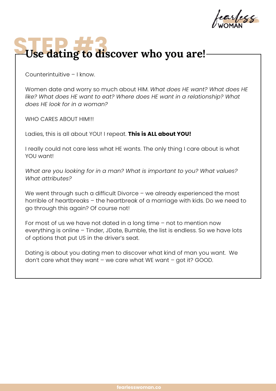arlecc

## Use dating to discover who you are!

Counterintuitive – I know.

Women date and worry so much about HIM. *What does HE want? What does HE like? What does HE want to eat? Where does HE want in a relationship? What does HE look for in a woman?*

WHO CARES ABOUT HIM!!!

Ladies, this is all about YOU! I repeat. **This is ALL about YOU!**

I really could not care less what HE wants. The only thing I care about is what YOU want!

*What are you looking for in a man? What is important to you? What values? What attributes?*

We went through such a difficult Divorce – we already experienced the most horrible of heartbreaks – the heartbreak of a marriage with kids. Do we need to go through this again? Of course not!

For most of us we have not dated in a long time – not to mention now everything is online – Tinder, JDate, Bumble, the list is endless. So we have lots of options that put US in the driver's seat.

Dating is about you dating men to discover what kind of man you want. We don't care what they want – we care what WE want – got it? GOOD.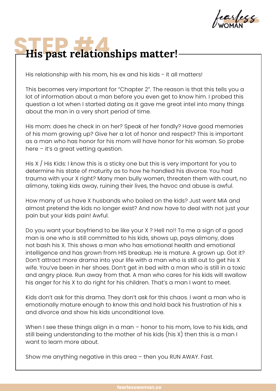arless

## His past relationships matter!

His relationship with his mom, his ex and his kids - it all matters!

This becomes very important for "Chapter 2". The reason is that this tells you a lot of information about a man before you even get to know him. I probed this question a lot when I started dating as it gave me great intel into many things about the man in a very short period of time.

His mom: does he check in on her? Speak of her fondly? Have good memories of his mom growing up? Give her a lot of honor and respect? This is important as a man who has honor for his mom will have honor for his woman. So probe here – it's a great vetting question.

His X / His Kids: I know this is a sticky one but this is very important for you to determine his state of maturity as to how he handled his divorce. You had trauma with your X right? Many men bully women, threaten them with court, no alimony, taking kids away, ruining their lives, the havoc and abuse is awful.

How many of us have X husbands who bailed on the kids? Just went MIA and almost pretend the kids no longer exist? And now have to deal with not just your pain but your kids pain! Awful.

Do you want your boyfriend to be like your X ? Hell no!! To me a sign of a good man is one who is still committed to his kids, shows up, pays alimony, does not bash his X. This shows a man who has emotional health and emotional intelligence and has grown from HIS breakup. He is mature. A grown up. Got it? Don't attract more drama into your life with a man who is still out to get his X wife. You've been in her shoes. Don't get in bed with a man who is still in a toxic and angry place. Run away from that. A man who cares for his kids will swallow his anger for his X to do right for his children. That's a man I want to meet.

Kids don't ask for this drama. They don't ask for this chaos. I want a man who is emotionally mature enough to know this and hold back his frustration of his x and divorce and show his kids unconditional love.

When I see these things align in a man – honor to his mom, love to his kids, and still being understanding to the mother of his kids (his X) then this is a man I want to learn more about.

Show me anything negative in this area – then you RUN AWAY. Fast.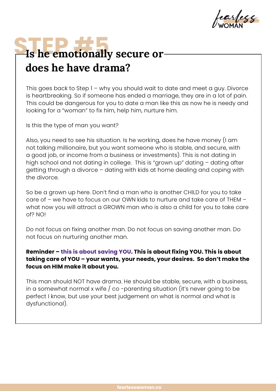arless

## **STEP & EXECUTE & STEP & STEP & STEP & STEP & STEP & STEP & STEP & STEP & STEP & STEP & STEP & STEP & STEP & STEP & STEP & STEP & STEP & STEP & STEP & STEP & STEP & STEP & STEP & STEP & STEP & STEP & STEP & STEP & STEP & S does he have drama?**

This goes back to Step 1 – why you should wait to date and meet a guy. Divorce is heartbreaking. So if someone has ended a marriage, they are in a lot of pain. This could be dangerous for you to date a man like this as now he is needy and looking for a "woman" to fix him, help him, nurture him.

Is this the type of man you want?

Also, you need to see his situation. Is he working, does he have money (I am not talking millionaire, but you want someone who is stable, and secure, with a good job, or income from a business or investments). This is not dating in high school and not dating in college. This is "grown up" dating – dating after getting through a divorce – dating with kids at home dealing and coping with the divorce.

So be a grown up here. Don't find a man who is another CHILD for you to take care of – we have to focus on our OWN kids to nurture and take care of THEM – what now you will attract a GROWN man who is also a child for you to take care of? NO!

Do not focus on fixing another man. Do not focus on saving another man. Do not focus on nurturing another man.

#### **Reminder – this is about saving YOU. This is about fixing YOU. This is about taking care of YOU – your wants, your needs, your desires. So don't make the focus on HIM make it about you.**

This man should NOT have drama. He should be stable, secure, with a business, in a somewhat normal x wife / co -parenting situation (it's never going to be perfect I know, but use your best judgement on what is normal and what is dysfunctional).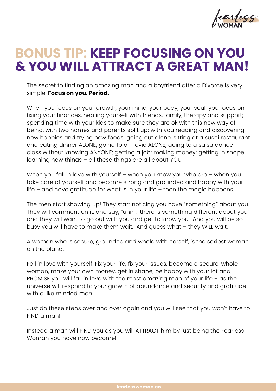learless

### **BONUS TIP: KEEP FOCUSING ON YOU & YOU WILL ATTRACT A GREAT MAN!**

The secret to finding an amazing man and a boyfriend after a Divorce is very simple. **Focus on you. Period.**

When you focus on your growth, your mind, your body, your soul; you focus on fixing your finances, healing yourself with friends, family, therapy and support; spending time with your kids to make sure they are ok with this new way of being, with two homes and parents split up; with you reading and discovering new hobbies and trying new foods; going out alone, sitting at a sushi restaurant and eating dinner ALONE; going to a movie ALONE; going to a salsa dance class without knowing ANYONE; getting a job; making money; getting in shape; learning new things – all these things are all about YOU.

When you fall in love with yourself – when you know you who are – when you take care of yourself and become strong and grounded and happy with your life – and have gratitude for what is in your life – then the magic happens.

The men start showing up! They start noticing you have "something" about you. They will comment on it, and say, "uhm, there is something different about you" and they will want to go out with you and get to know you. And you will be so busy you will have to make them wait. And guess what – they WILL wait.

A woman who is secure, grounded and whole with herself, is the sexiest woman on the planet.

Fall in love with yourself. Fix your life, fix your issues, become a secure, whole woman, make your own money, get in shape, be happy with your lot and I PROMISE you will fall in love with the most amazing man of your life – as the universe will respond to your growth of abundance and security and gratitude with a like minded man.

Just do these steps over and over again and you will see that you won't have to FIND a man!

Instead a man will FIND you as you will ATTRACT him by just being the Fearless Woman you have now become!